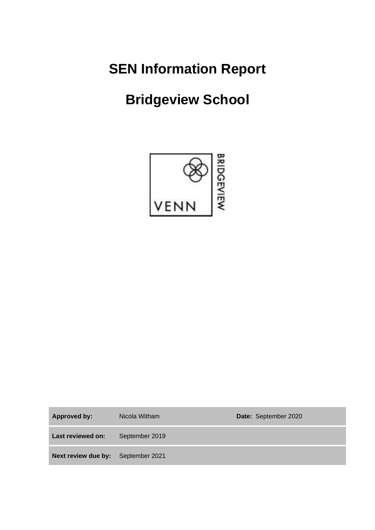**SEN Information Report**

# **Bridgeview School**



**Approved by:** Nicola Witham **Date:** September 2020 **Last reviewed on:** September 2019 **Next review due by:** September 2021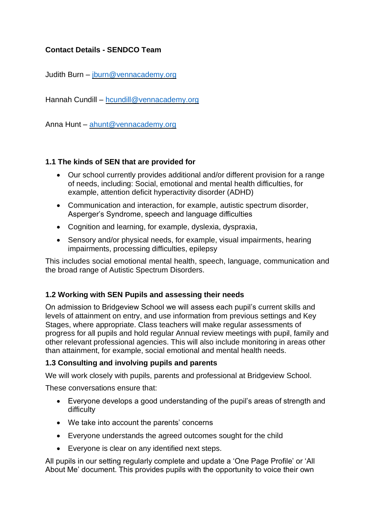## **Contact Details - SENDCO Team**

Judith Burn – [jburn@vennacademy.org](mailto:jburn@vennacademy.org)

Hannah Cundill – [hcundill@vennacademy.org](mailto:hcundill@vennacademy.org)

Anna Hunt – [ahunt@vennacademy.org](mailto:ahunt@vennacademy.org)

### **1.1 The kinds of SEN that are provided for**

- Our school currently provides additional and/or different provision for a range of needs, including: Social, emotional and mental health difficulties, for example, attention deficit hyperactivity disorder (ADHD)
- Communication and interaction, for example, autistic spectrum disorder, Asperger's Syndrome, speech and language difficulties
- Cognition and learning, for example, dyslexia, dyspraxia,
- Sensory and/or physical needs, for example, visual impairments, hearing impairments, processing difficulties, epilepsy

This includes social emotional mental health, speech, language, communication and the broad range of Autistic Spectrum Disorders.

### **1.2 Working with SEN Pupils and assessing their needs**

On admission to Bridgeview School we will assess each pupil's current skills and levels of attainment on entry, and use information from previous settings and Key Stages, where appropriate. Class teachers will make regular assessments of progress for all pupils and hold regular Annual review meetings with pupil, family and other relevant professional agencies. This will also include monitoring in areas other than attainment, for example, social emotional and mental health needs.

#### **1.3 Consulting and involving pupils and parents**

We will work closely with pupils, parents and professional at Bridgeview School.

These conversations ensure that:

- Everyone develops a good understanding of the pupil's areas of strength and difficulty
- We take into account the parents' concerns
- Everyone understands the agreed outcomes sought for the child
- Everyone is clear on any identified next steps.

All pupils in our setting regularly complete and update a 'One Page Profile' or 'All About Me' document. This provides pupils with the opportunity to voice their own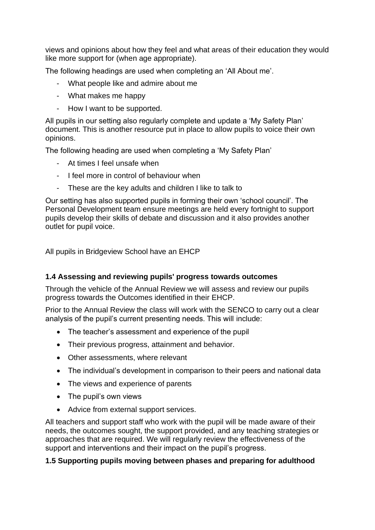views and opinions about how they feel and what areas of their education they would like more support for (when age appropriate).

The following headings are used when completing an 'All About me'.

- What people like and admire about me
- What makes me happy
- How I want to be supported.

All pupils in our setting also regularly complete and update a 'My Safety Plan' document. This is another resource put in place to allow pupils to voice their own opinions.

The following heading are used when completing a 'My Safety Plan'

- At times I feel unsafe when
- I feel more in control of behaviour when
- These are the key adults and children I like to talk to

Our setting has also supported pupils in forming their own 'school council'. The Personal Development team ensure meetings are held every fortnight to support pupils develop their skills of debate and discussion and it also provides another outlet for pupil voice.

All pupils in Bridgeview School have an EHCP

### **1.4 Assessing and reviewing pupils' progress towards outcomes**

Through the vehicle of the Annual Review we will assess and review our pupils progress towards the Outcomes identified in their EHCP.

Prior to the Annual Review the class will work with the SENCO to carry out a clear analysis of the pupil's current presenting needs. This will include:

- The teacher's assessment and experience of the pupil
- Their previous progress, attainment and behavior.
- Other assessments, where relevant
- The individual's development in comparison to their peers and national data
- The views and experience of parents
- The pupil's own views
- Advice from external support services.

All teachers and support staff who work with the pupil will be made aware of their needs, the outcomes sought, the support provided, and any teaching strategies or approaches that are required. We will regularly review the effectiveness of the support and interventions and their impact on the pupil's progress.

### **1.5 Supporting pupils moving between phases and preparing for adulthood**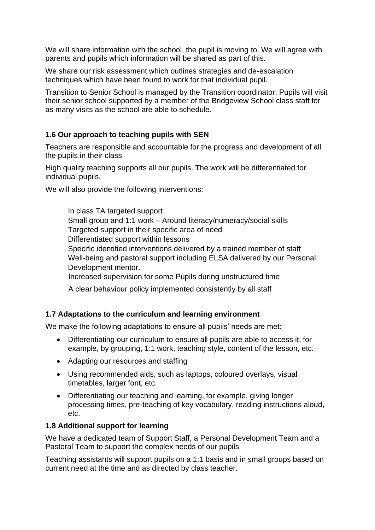We will share information with the school, the pupil is moving to. We will agree with parents and pupils which information will be shared as part of this.

We share our risk assessment which outlines strategies and de-escalation techniques which have been found to work for that individual pupil.

Transition to Senior School is managed by the Transition coordinator. Pupils will visit their senior school supported by a member of the Bridgeview School class staff for as many visits as the school are able to schedule.

## **1.6 Our approach to teaching pupils with SEN**

Teachers are responsible and accountable for the progress and development of all the pupils in their class.

High quality teaching supports all our pupils. The work will be differentiated for individual pupils.

We will also provide the following interventions:

In class TA targeted support Small group and 1:1 work – Around literacy/numeracy/social skills Targeted support in their specific area of need Differentiated support within lessons Specific identified interventions delivered by a trained member of staff Well-being and pastoral support including ELSA delivered by our Personal Development mentor. Increased supervision for some Pupils during unstructured time

A clear behaviour policy implemented consistently by all staff

### **1.7 Adaptations to the curriculum and learning environment**

We make the following adaptations to ensure all pupils' needs are met:

- Differentiating our curriculum to ensure all pupils are able to access it, for example, by grouping, 1:1 work, teaching style, content of the lesson, etc.
- Adapting our resources and staffing
- Using recommended aids, such as laptops, coloured overlays, visual timetables, larger font, etc.
- Differentiating our teaching and learning, for example, giving longer processing times, pre-teaching of key vocabulary, reading instructions aloud, etc.

### **1.8 Additional support for learning**

We have a dedicated team of Support Staff, a Personal Development Team and a Pastoral Team to support the complex needs of our pupils.

Teaching assistants will support pupils on a 1:1 basis and in small groups based on current need at the time and as directed by class teacher.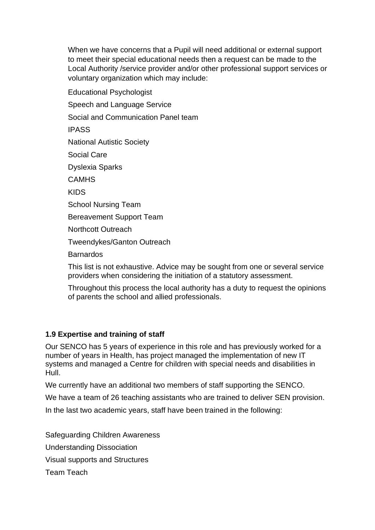When we have concerns that a Pupil will need additional or external support to meet their special educational needs then a request can be made to the Local Authority /service provider and/or other professional support services or voluntary organization which may include:

Educational Psychologist

Speech and Language Service

Social and Communication Panel team

IPASS

National Autistic Society

Social Care

Dyslexia Sparks

**CAMHS** 

KIDS

School Nursing Team

Bereavement Support Team

Northcott Outreach

Tweendykes/Ganton Outreach

Barnardos

This list is not exhaustive. Advice may be sought from one or several service providers when considering the initiation of a statutory assessment.

Throughout this process the local authority has a duty to request the opinions of parents the school and allied professionals.

### **1.9 Expertise and training of staff**

Our SENCO has 5 years of experience in this role and has previously worked for a number of years in Health, has project managed the implementation of new IT systems and managed a Centre for children with special needs and disabilities in Hull.

We currently have an additional two members of staff supporting the SENCO.

We have a team of 26 teaching assistants who are trained to deliver SEN provision.

In the last two academic years, staff have been trained in the following:

Safeguarding Children Awareness

Understanding Dissociation

Visual supports and Structures

Team Teach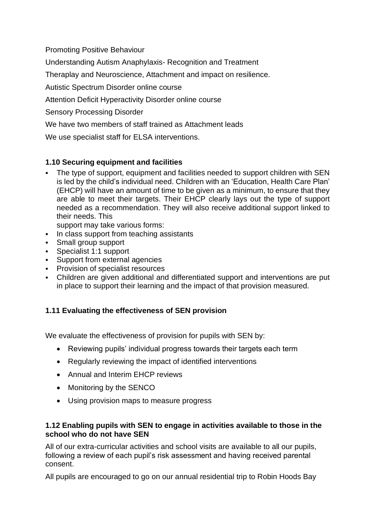Promoting Positive Behaviour

Understanding Autism Anaphylaxis- Recognition and Treatment

Theraplay and Neuroscience, Attachment and impact on resilience.

Autistic Spectrum Disorder online course

Attention Deficit Hyperactivity Disorder online course

Sensory Processing Disorder

We have two members of staff trained as Attachment leads

We use specialist staff for ELSA interventions.

## **1.10 Securing equipment and facilities**

▪ The type of support, equipment and facilities needed to support children with SEN is led by the child's individual need. Children with an 'Education, Health Care Plan' (EHCP) will have an amount of time to be given as a minimum, to ensure that they are able to meet their targets. Their EHCP clearly lays out the type of support needed as a recommendation. They will also receive additional support linked to their needs. This

support may take various forms:

- **In class support from teaching assistants**
- Small group support
- Specialist 1:1 support
- **EXECUTE:** Support from external agencies
- **Provision of specialist resources**
- Children are given additional and differentiated support and interventions are put in place to support their learning and the impact of that provision measured.

## **1.11 Evaluating the effectiveness of SEN provision**

We evaluate the effectiveness of provision for pupils with SEN by:

- Reviewing pupils' individual progress towards their targets each term
- Regularly reviewing the impact of identified interventions
- Annual and Interim EHCP reviews
- Monitoring by the SENCO
- Using provision maps to measure progress

### **1.12 Enabling pupils with SEN to engage in activities available to those in the school who do not have SEN**

All of our extra-curricular activities and school visits are available to all our pupils, following a review of each pupil's risk assessment and having received parental consent.

All pupils are encouraged to go on our annual residential trip to Robin Hoods Bay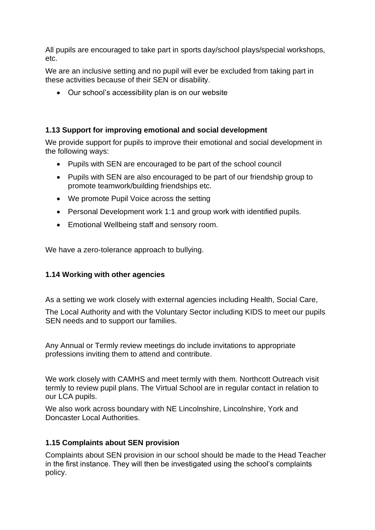All pupils are encouraged to take part in sports day/school plays/special workshops, etc.

We are an inclusive setting and no pupil will ever be excluded from taking part in these activities because of their SEN or disability.

• Our school's accessibility plan is on our website

#### **1.13 Support for improving emotional and social development**

We provide support for pupils to improve their emotional and social development in the following ways:

- Pupils with SEN are encouraged to be part of the school council
- Pupils with SEN are also encouraged to be part of our friendship group to promote teamwork/building friendships etc.
- We promote Pupil Voice across the setting
- Personal Development work 1:1 and group work with identified pupils.
- Emotional Wellbeing staff and sensory room.

We have a zero-tolerance approach to bullying.

### **1.14 Working with other agencies**

As a setting we work closely with external agencies including Health, Social Care,

The Local Authority and with the Voluntary Sector including KIDS to meet our pupils SEN needs and to support our families.

Any Annual or Termly review meetings do include invitations to appropriate professions inviting them to attend and contribute.

We work closely with CAMHS and meet termly with them. Northcott Outreach visit termly to review pupil plans. The Virtual School are in regular contact in relation to our LCA pupils.

We also work across boundary with NE Lincolnshire, Lincolnshire, York and Doncaster Local Authorities.

### **1.15 Complaints about SEN provision**

Complaints about SEN provision in our school should be made to the Head Teacher in the first instance. They will then be investigated using the school's complaints policy.